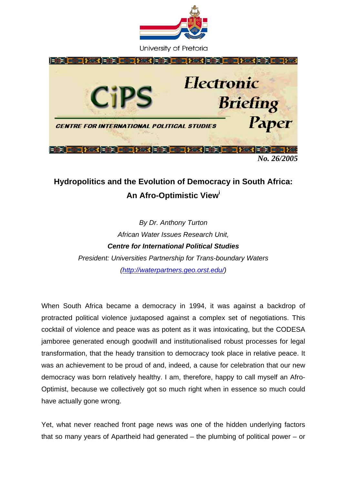

University of Pretoria



## **Hydropolitics and the Evolution of Democracy in South Africa: An Afro-Optimistic Vie[wi](#page-7-0)**

*By Dr. Anthony Turton African Water Issues Research Unit, Centre for International Political Studies President: Universities Partnership for Trans-boundary Waters [\(http://waterpartners.geo.orst.edu/\)](http://waterpartners.geo.orst.edu/)* 

When South Africa became a democracy in 1994, it was against a backdrop of protracted political violence juxtaposed against a complex set of negotiations. This cocktail of violence and peace was as potent as it was intoxicating, but the CODESA jamboree generated enough goodwill and institutionalised robust processes for legal transformation, that the heady transition to democracy took place in relative peace. It was an achievement to be proud of and, indeed, a cause for celebration that our new democracy was born relatively healthy. I am, therefore, happy to call myself an Afro-Optimist, because we collectively got so much right when in essence so much could have actually gone wrong.

Yet, what never reached front page news was one of the hidden underlying factors that so many years of Apartheid had generated – the plumbing of political power – or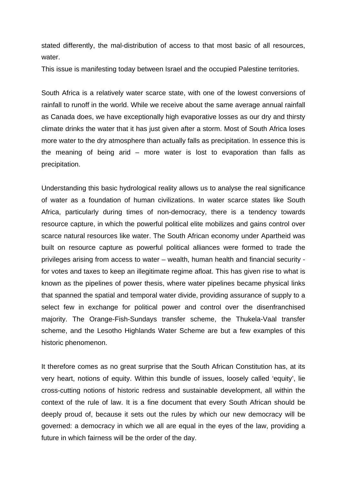stated differently, the mal-distribution of access to that most basic of all resources, water

This issue is manifesting today between Israel and the occupied Palestine territories.

South Africa is a relatively water scarce state, with one of the lowest conversions of rainfall to runoff in the world. While we receive about the same average annual rainfall as Canada does, we have exceptionally high evaporative losses as our dry and thirsty climate drinks the water that it has just given after a storm. Most of South Africa loses more water to the dry atmosphere than actually falls as precipitation. In essence this is the meaning of being arid – more water is lost to evaporation than falls as precipitation.

Understanding this basic hydrological reality allows us to analyse the real significance of water as a foundation of human civilizations. In water scarce states like South Africa, particularly during times of non-democracy, there is a tendency towards resource capture, in which the powerful political elite mobilizes and gains control over scarce natural resources like water. The South African economy under Apartheid was built on resource capture as powerful political alliances were formed to trade the privileges arising from access to water – wealth, human health and financial security for votes and taxes to keep an illegitimate regime afloat. This has given rise to what is known as the pipelines of power thesis, where water pipelines became physical links that spanned the spatial and temporal water divide, providing assurance of supply to a select few in exchange for political power and control over the disenfranchised majority. The Orange-Fish-Sundays transfer scheme, the Thukela-Vaal transfer scheme, and the Lesotho Highlands Water Scheme are but a few examples of this historic phenomenon.

It therefore comes as no great surprise that the South African Constitution has, at its very heart, notions of equity. Within this bundle of issues, loosely called 'equity', lie cross-cutting notions of historic redress and sustainable development, all within the context of the rule of law. It is a fine document that every South African should be deeply proud of, because it sets out the rules by which our new democracy will be governed: a democracy in which we all are equal in the eyes of the law, providing a future in which fairness will be the order of the day.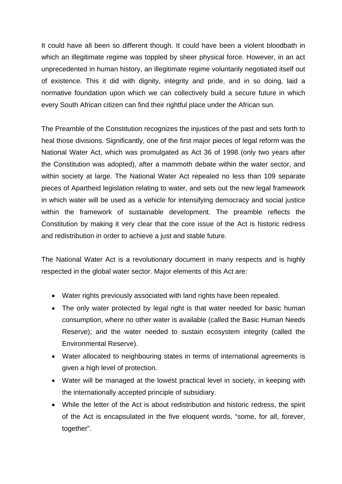It could have all been so different though. It could have been a violent bloodbath in which an illegitimate regime was toppled by sheer physical force. However, in an act unprecedented in human history, an illegitimate regime voluntarily negotiated itself out of existence. This it did with dignity, integrity and pride, and in so doing, laid a normative foundation upon which we can collectively build a secure future in which every South African citizen can find their rightful place under the African sun.

The Preamble of the Constitution recognizes the injustices of the past and sets forth to heal those divisions. Significantly, one of the first major pieces of legal reform was the National Water Act, which was promulgated as Act 36 of 1998 (only two years after the Constitution was adopted), after a mammoth debate within the water sector, and within society at large. The National Water Act repealed no less than 109 separate pieces of Apartheid legislation relating to water, and sets out the new legal framework in which water will be used as a vehicle for intensifying democracy and social justice within the framework of sustainable development. The preamble reflects the Constitution by making it very clear that the core issue of the Act is historic redress and redistribution in order to achieve a just and stable future.

The National Water Act is a revolutionary document in many respects and is highly respected in the global water sector. Major elements of this Act are:

- Water rights previously associated with land rights have been repealed.
- The only water protected by legal right is that water needed for basic human consumption, where no other water is available (called the Basic Human Needs Reserve); and the water needed to sustain ecosystem integrity (called the Environmental Reserve).
- Water allocated to neighbouring states in terms of international agreements is given a high level of protection.
- Water will be managed at the lowest practical level in society, in keeping with the internationally accepted principle of subsidiary.
- While the letter of the Act is about redistribution and historic redress, the spirit of the Act is encapsulated in the five eloquent words, "some, for all, forever, together".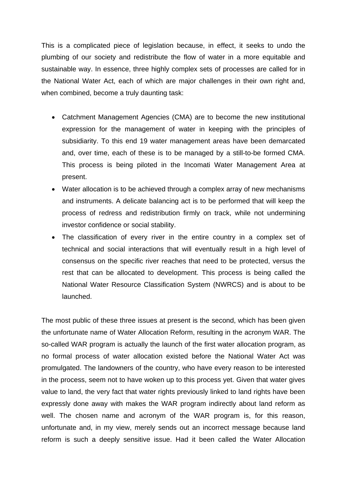This is a complicated piece of legislation because, in effect, it seeks to undo the plumbing of our society and redistribute the flow of water in a more equitable and sustainable way. In essence, three highly complex sets of processes are called for in the National Water Act, each of which are major challenges in their own right and, when combined, become a truly daunting task:

- Catchment Management Agencies (CMA) are to become the new institutional expression for the management of water in keeping with the principles of subsidiarity. To this end 19 water management areas have been demarcated and, over time, each of these is to be managed by a still-to-be formed CMA. This process is being piloted in the Incomati Water Management Area at present.
- Water allocation is to be achieved through a complex array of new mechanisms and instruments. A delicate balancing act is to be performed that will keep the process of redress and redistribution firmly on track, while not undermining investor confidence or social stability.
- The classification of every river in the entire country in a complex set of technical and social interactions that will eventually result in a high level of consensus on the specific river reaches that need to be protected, versus the rest that can be allocated to development. This process is being called the National Water Resource Classification System (NWRCS) and is about to be launched.

The most public of these three issues at present is the second, which has been given the unfortunate name of Water Allocation Reform, resulting in the acronym WAR. The so-called WAR program is actually the launch of the first water allocation program, as no formal process of water allocation existed before the National Water Act was promulgated. The landowners of the country, who have every reason to be interested in the process, seem not to have woken up to this process yet. Given that water gives value to land, the very fact that water rights previously linked to land rights have been expressly done away with makes the WAR program indirectly about land reform as well. The chosen name and acronym of the WAR program is, for this reason, unfortunate and, in my view, merely sends out an incorrect message because land reform is such a deeply sensitive issue. Had it been called the Water Allocation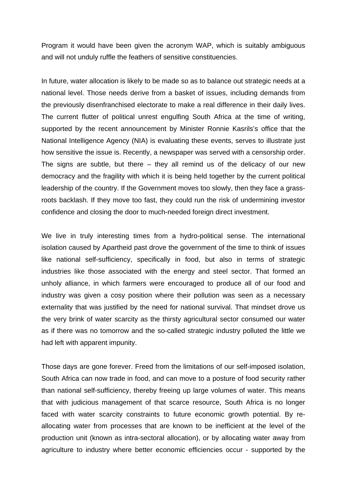Program it would have been given the acronym WAP, which is suitably ambiguous and will not unduly ruffle the feathers of sensitive constituencies.

In future, water allocation is likely to be made so as to balance out strategic needs at a national level. Those needs derive from a basket of issues, including demands from the previously disenfranchised electorate to make a real difference in their daily lives. The current flutter of political unrest engulfing South Africa at the time of writing, supported by the recent announcement by Minister Ronnie Kasrils's office that the National Intelligence Agency (NIA) is evaluating these events, serves to illustrate just how sensitive the issue is. Recently, a newspaper was served with a censorship order. The signs are subtle, but there  $-$  they all remind us of the delicacy of our new democracy and the fragility with which it is being held together by the current political leadership of the country. If the Government moves too slowly, then they face a grassroots backlash. If they move too fast, they could run the risk of undermining investor confidence and closing the door to much-needed foreign direct investment.

We live in truly interesting times from a hydro-political sense. The international isolation caused by Apartheid past drove the government of the time to think of issues like national self-sufficiency, specifically in food, but also in terms of strategic industries like those associated with the energy and steel sector. That formed an unholy alliance, in which farmers were encouraged to produce all of our food and industry was given a cosy position where their pollution was seen as a necessary externality that was justified by the need for national survival. That mindset drove us the very brink of water scarcity as the thirsty agricultural sector consumed our water as if there was no tomorrow and the so-called strategic industry polluted the little we had left with apparent impunity.

Those days are gone forever. Freed from the limitations of our self-imposed isolation, South Africa can now trade in food, and can move to a posture of food security rather than national self-sufficiency, thereby freeing up large volumes of water. This means that with judicious management of that scarce resource, South Africa is no longer faced with water scarcity constraints to future economic growth potential. By reallocating water from processes that are known to be inefficient at the level of the production unit (known as intra-sectoral allocation), or by allocating water away from agriculture to industry where better economic efficiencies occur - supported by the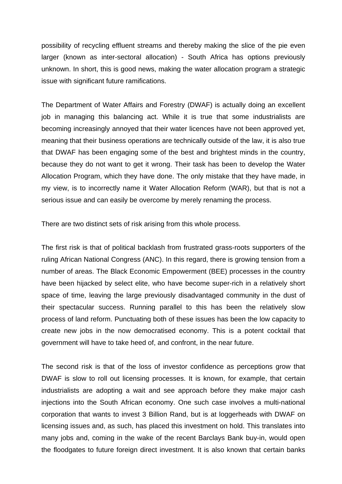possibility of recycling effluent streams and thereby making the slice of the pie even larger (known as inter-sectoral allocation) - South Africa has options previously unknown. In short, this is good news, making the water allocation program a strategic issue with significant future ramifications.

The Department of Water Affairs and Forestry (DWAF) is actually doing an excellent job in managing this balancing act. While it is true that some industrialists are becoming increasingly annoyed that their water licences have not been approved yet, meaning that their business operations are technically outside of the law, it is also true that DWAF has been engaging some of the best and brightest minds in the country, because they do not want to get it wrong. Their task has been to develop the Water Allocation Program, which they have done. The only mistake that they have made, in my view, is to incorrectly name it Water Allocation Reform (WAR), but that is not a serious issue and can easily be overcome by merely renaming the process.

There are two distinct sets of risk arising from this whole process.

The first risk is that of political backlash from frustrated grass-roots supporters of the ruling African National Congress (ANC). In this regard, there is growing tension from a number of areas. The Black Economic Empowerment (BEE) processes in the country have been hijacked by select elite, who have become super-rich in a relatively short space of time, leaving the large previously disadvantaged community in the dust of their spectacular success. Running parallel to this has been the relatively slow process of land reform. Punctuating both of these issues has been the low capacity to create new jobs in the now democratised economy. This is a potent cocktail that government will have to take heed of, and confront, in the near future.

The second risk is that of the loss of investor confidence as perceptions grow that DWAF is slow to roll out licensing processes. It is known, for example, that certain industrialists are adopting a wait and see approach before they make major cash injections into the South African economy. One such case involves a multi-national corporation that wants to invest 3 Billion Rand, but is at loggerheads with DWAF on licensing issues and, as such, has placed this investment on hold. This translates into many jobs and, coming in the wake of the recent Barclays Bank buy-in, would open the floodgates to future foreign direct investment. It is also known that certain banks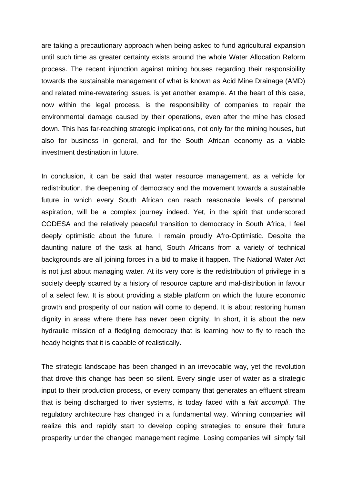are taking a precautionary approach when being asked to fund agricultural expansion until such time as greater certainty exists around the whole Water Allocation Reform process. The recent injunction against mining houses regarding their responsibility towards the sustainable management of what is known as Acid Mine Drainage (AMD) and related mine-rewatering issues, is yet another example. At the heart of this case, now within the legal process, is the responsibility of companies to repair the environmental damage caused by their operations, even after the mine has closed down. This has far-reaching strategic implications, not only for the mining houses, but also for business in general, and for the South African economy as a viable investment destination in future.

In conclusion, it can be said that water resource management, as a vehicle for redistribution, the deepening of democracy and the movement towards a sustainable future in which every South African can reach reasonable levels of personal aspiration, will be a complex journey indeed. Yet, in the spirit that underscored CODESA and the relatively peaceful transition to democracy in South Africa, I feel deeply optimistic about the future. I remain proudly Afro-Optimistic. Despite the daunting nature of the task at hand, South Africans from a variety of technical backgrounds are all joining forces in a bid to make it happen. The National Water Act is not just about managing water. At its very core is the redistribution of privilege in a society deeply scarred by a history of resource capture and mal-distribution in favour of a select few. It is about providing a stable platform on which the future economic growth and prosperity of our nation will come to depend. It is about restoring human dignity in areas where there has never been dignity. In short, it is about the new hydraulic mission of a fledgling democracy that is learning how to fly to reach the heady heights that it is capable of realistically.

The strategic landscape has been changed in an irrevocable way, yet the revolution that drove this change has been so silent. Every single user of water as a strategic input to their production process, or every company that generates an effluent stream that is being discharged to river systems, is today faced with a *fait accompli*. The regulatory architecture has changed in a fundamental way. Winning companies will realize this and rapidly start to develop coping strategies to ensure their future prosperity under the changed management regime. Losing companies will simply fail